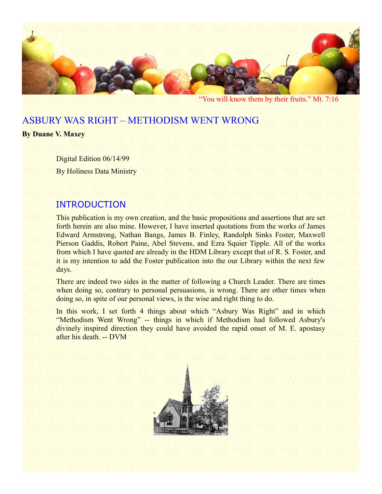

"You will know them by their fruits." Mt. 7:16

# ASBURY WAS RIGHT – METHODISM WENT WRONG

**By Duane V. Maxey**

Digital Edition 06/14/99 By Holiness Data Ministry

# INTRODUCTION

This publication is my own creation, and the basic propositions and assertions that are set forth herein are also mine. However, I have inserted quotations from the works of James Edward Armstrong, Nathan Bangs, James B. Finley, Randolph Sinks Foster, Maxwell Pierson Gaddis, Robert Paine, Abel Stevens, and Ezra Squier Tipple. All of the works from which I have quoted are already in the HDM Library except that of R. S. Foster, and it is my intention to add the Foster publication into the our Library within the next few days.

There are indeed two sides in the matter of following a Church Leader. There are times when doing so, contrary to personal persuasions, is wrong. There are other times when doing so, in spite of our personal views, is the wise and right thing to do.

In this work, I set forth 4 things about which "Asbury Was Right" and in which "Methodism Went Wrong" -- things in which if Methodism had followed Asbury's divinely inspired direction they could have avoided the rapid onset of M. E. apostasy after his death. -- DVM

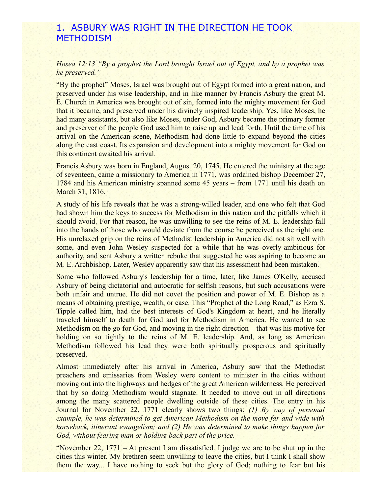# 1. ASBURY WAS RIGHT IN THE DIRECTION HE TOOK **METHODISM**

### *Hosea 12:13 "By a prophet the Lord brought Israel out of Egypt, and by a prophet was he preserved."*

"By the prophet" Moses, Israel was brought out of Egypt formed into a great nation, and preserved under his wise leadership, and in like manner by Francis Asbury the great M. E. Church in America was brought out of sin, formed into the mighty movement for God that it became, and preserved under his divinely inspired leadership. Yes, like Moses, he had many assistants, but also like Moses, under God, Asbury became the primary former and preserver of the people God used him to raise up and lead forth. Until the time of his arrival on the American scene, Methodism had done little to expand beyond the cities along the east coast. Its expansion and development into a mighty movement for God on this continent awaited his arrival.

Francis Asbury was born in England, August 20, 1745. He entered the ministry at the age of seventeen, came a missionary to America in 1771, was ordained bishop December 27, 1784 and his American ministry spanned some 45 years – from 1771 until his death on March 31, 1816.

A study of his life reveals that he was a strong-willed leader, and one who felt that God had shown him the keys to success for Methodism in this nation and the pitfalls which it should avoid. For that reason, he was unwilling to see the reins of M. E. leadership fall into the hands of those who would deviate from the course he perceived as the right one. His unrelaxed grip on the reins of Methodist leadership in America did not sit well with some, and even John Wesley suspected for a while that he was overly-ambitious for authority, and sent Asbury a written rebuke that suggested he was aspiring to become an M. E. Archbishop. Later, Wesley apparently saw that his assessment had been mistaken.

Some who followed Asbury's leadership for a time, later, like James O'Kelly, accused Asbury of being dictatorial and autocratic for selfish reasons, but such accusations were both unfair and untrue. He did not covet the position and power of M. E. Bishop as a means of obtaining prestige, wealth, or ease. This "Prophet of the Long Road," as Ezra S. Tipple called him, had the best interests of God's Kingdom at heart, and he literally traveled himself to death for God and for Methodism in America. He wanted to see Methodism on the go for God, and moving in the right direction – that was his motive for holding on so tightly to the reins of M. E. leadership. And, as long as American Methodism followed his lead they were both spiritually prosperous and spiritually preserved.

Almost immediately after his arrival in America, Asbury saw that the Methodist preachers and emissaries from Wesley were content to minister in the cities without moving out into the highways and hedges of the great American wilderness. He perceived that by so doing Methodism would stagnate. It needed to move out in all directions among the many scattered people dwelling outside of these cities. The entry in his Journal for November 22, 1771 clearly shows two things: *(1) By way of personal example, he was determined to get American Methodism on the move far and wide with horseback, itinerant evangelism; and (2) He was determined to make things happen for God, without fearing man or holding back part of the price.*

"November 22, 1771 – At present I am dissatisfied. I judge we are to be shut up in the cities this winter. My brethren seem unwilling to leave the cities, but I think I shall show them the way... I have nothing to seek but the glory of God; nothing to fear but his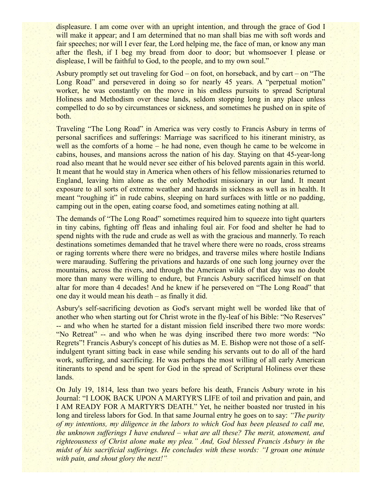displeasure. I am come over with an upright intention, and through the grace of God I will make it appear; and I am determined that no man shall bias me with soft words and fair speeches; nor will I ever fear, the Lord helping me, the face of man, or know any man after the flesh, if I beg my bread from door to door; but whomsoever I please or displease, I will be faithful to God, to the people, and to my own soul."

Asbury promptly set out traveling for God – on foot, on horseback, and by cart – on "The Long Road" and persevered in doing so for nearly 45 years. A "perpetual motion" worker, he was constantly on the move in his endless pursuits to spread Scriptural Holiness and Methodism over these lands, seldom stopping long in any place unless compelled to do so by circumstances or sickness, and sometimes he pushed on in spite of both.

Traveling "The Long Road" in America was very costly to Francis Asbury in terms of personal sacrifices and sufferings: Marriage was sacrificed to his itinerant ministry, as well as the comforts of a home – he had none, even though he came to be welcome in cabins, houses, and mansions across the nation of his day. Staying on that 45-year-long road also meant that he would never see either of his beloved parents again in this world. It meant that he would stay in America when others of his fellow missionaries returned to England, leaving him alone as the only Methodist missionary in our land. It meant exposure to all sorts of extreme weather and hazards in sickness as well as in health. It meant "roughing it" in rude cabins, sleeping on hard surfaces with little or no padding, camping out in the open, eating coarse food, and sometimes eating nothing at all.

The demands of "The Long Road" sometimes required him to squeeze into tight quarters in tiny cabins, fighting off fleas and inhaling foul air. For food and shelter he had to spend nights with the rude and crude as well as with the gracious and mannerly. To reach destinations sometimes demanded that he travel where there were no roads, cross streams or raging torrents where there were no bridges, and traverse miles where hostile Indians were marauding. Suffering the privations and hazards of one such long journey over the mountains, across the rivers, and through the American wilds of that day was no doubt more than many were willing to endure, but Francis Asbury sacrificed himself on that altar for more than 4 decades! And he knew if he persevered on "The Long Road" that one day it would mean his death – as finally it did.

Asbury's self-sacrificing devotion as God's servant might well be worded like that of another who when starting out for Christ wrote in the fly-leaf of his Bible: "No Reserves" -- and who when he started for a distant mission field inscribed there two more words: "No Retreat" -- and who when he was dying inscribed there two more words: "No Regrets"! Francis Asbury's concept of his duties as M. E. Bishop were not those of a selfindulgent tyrant sitting back in ease while sending his servants out to do all of the hard work, suffering, and sacrificing. He was perhaps the most willing of all early American itinerants to spend and be spent for God in the spread of Scriptural Holiness over these lands.

On July 19, 1814, less than two years before his death, Francis Asbury wrote in his Journal: "I LOOK BACK UPON A MARTYR'S LIFE of toil and privation and pain, and I AM READY FOR A MARTYR'S DEATH." Yet, he neither boasted nor trusted in his long and tireless labors for God. In that same Journal entry he goes on to say: *"The purity of my intentions, my diligence in the labors to which God has been pleased to call me, the unknown sufferings I have endured – what are all these? The merit, atonement, and righteousness of Christ alone make my plea." And, God blessed Francis Asbury in the midst of his sacrificial sufferings. He concludes with these words: "I groan one minute with pain, and shout glory the next!"*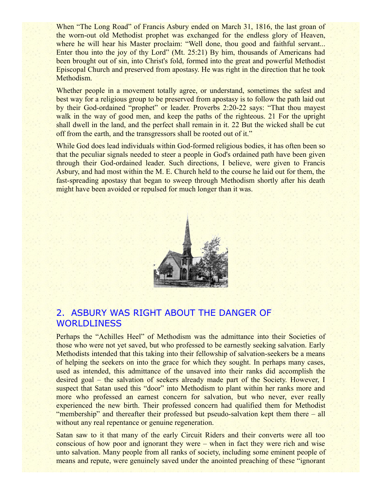When "The Long Road" of Francis Asbury ended on March 31, 1816, the last groan of the worn-out old Methodist prophet was exchanged for the endless glory of Heaven, where he will hear his Master proclaim: "Well done, thou good and faithful servant... Enter thou into the joy of thy Lord" (Mt. 25:21) By him, thousands of Americans had been brought out of sin, into Christ's fold, formed into the great and powerful Methodist Episcopal Church and preserved from apostasy. He was right in the direction that he took Methodism.

Whether people in a movement totally agree, or understand, sometimes the safest and best way for a religious group to be preserved from apostasy is to follow the path laid out by their God-ordained "prophet" or leader. Proverbs 2:20-22 says: "That thou mayest walk in the way of good men, and keep the paths of the righteous. 21 For the upright shall dwell in the land, and the perfect shall remain in it. 22 But the wicked shall be cut off from the earth, and the transgressors shall be rooted out of it."

While God does lead individuals within God-formed religious bodies, it has often been so that the peculiar signals needed to steer a people in God's ordained path have been given through their God-ordained leader. Such directions, I believe, were given to Francis Asbury, and had most within the M. E. Church held to the course he laid out for them, the fast-spreading apostasy that began to sweep through Methodism shortly after his death might have been avoided or repulsed for much longer than it was.



# 2. ASBURY WAS RIGHT ABOUT THE DANGER OF **WORLDLINESS**

Perhaps the "Achilles Heel" of Methodism was the admittance into their Societies of those who were not yet saved, but who professed to be earnestly seeking salvation. Early Methodists intended that this taking into their fellowship of salvation-seekers be a means of helping the seekers on into the grace for which they sought. In perhaps many cases, used as intended, this admittance of the unsaved into their ranks did accomplish the desired goal – the salvation of seekers already made part of the Society. However, I suspect that Satan used this "door" into Methodism to plant within her ranks more and more who professed an earnest concern for salvation, but who never, ever really experienced the new birth. Their professed concern had qualified them for Methodist "membership" and thereafter their professed but pseudo-salvation kept them there – all without any real repentance or genuine regeneration.

Satan saw to it that many of the early Circuit Riders and their converts were all too conscious of how poor and ignorant they were – when in fact they were rich and wise unto salvation. Many people from all ranks of society, including some eminent people of means and repute, were genuinely saved under the anointed preaching of these "ignorant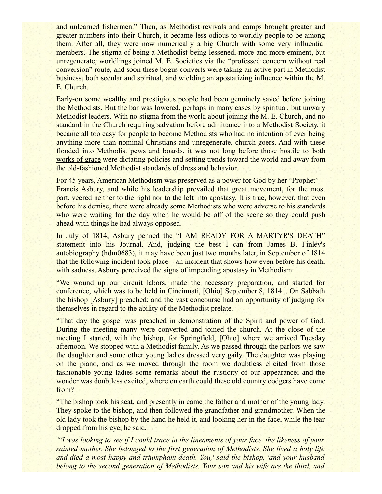and unlearned fishermen." Then, as Methodist revivals and camps brought greater and greater numbers into their Church, it became less odious to worldly people to be among them. After all, they were now numerically a big Church with some very influential members. The stigma of being a Methodist being lessened, more and more eminent, but unregenerate, worldlings joined M. E. Societies via the "professed concern without real conversion" route, and soon these bogus converts were taking an active part in Methodist business, both secular and spiritual, and wielding an apostatizing influence within the M. E. Church.

Early-on some wealthy and prestigious people had been genuinely saved before joining the Methodists. But the bar was lowered, perhaps in many cases by spiritual, but unwary Methodist leaders. With no stigma from the world about joining the M. E. Church, and no standard in the Church requiring salvation before admittance into a Methodist Society, it became all too easy for people to become Methodists who had no intention of ever being anything more than nominal Christians and unregenerate, church-goers. And with these flooded into Methodist pews and boards, it was not long before those hostile to both works of grace were dictating policies and setting trends toward the world and away from the old-fashioned Methodist standards of dress and behavior.

For 45 years, American Methodism was preserved as a power for God by her "Prophet" -- Francis Asbury, and while his leadership prevailed that great movement, for the most part, veered neither to the right nor to the left into apostasy. It is true, however, that even before his demise, there were already some Methodists who were adverse to his standards who were waiting for the day when he would be off of the scene so they could push ahead with things he had always opposed.

In July of 1814, Asbury penned the "I AM READY FOR A MARTYR'S DEATH" statement into his Journal. And, judging the best I can from James B. Finley's autobiography (hdm0683), it may have been just two months later, in September of 1814 that the following incident took place – an incident that shows how even before his death, with sadness, Asbury perceived the signs of impending apostasy in Methodism:

"We wound up our circuit labors, made the necessary preparation, and started for conference, which was to be held in Cincinnati, [Ohio] September 8, 1814... On Sabbath the bishop [Asbury] preached; and the vast concourse had an opportunity of judging for themselves in regard to the ability of the Methodist prelate.

"That day the gospel was preached in demonstration of the Spirit and power of God. During the meeting many were converted and joined the church. At the close of the meeting I started, with the bishop, for Springfield, [Ohio] where we arrived Tuesday afternoon. We stopped with a Methodist family. As we passed through the parlors we saw the daughter and some other young ladies dressed very gaily. The daughter was playing on the piano, and as we moved through the room we doubtless elicited from those fashionable young ladies some remarks about the rusticity of our appearance; and the wonder was doubtless excited, where on earth could these old country codgers have come from?

"The bishop took his seat, and presently in came the father and mother of the young lady. They spoke to the bishop, and then followed the grandfather and grandmother. When the old lady took the bishop by the hand he held it, and looking her in the face, while the tear dropped from his eye, he said,

*"'I was looking to see if I could trace in the lineaments of your face, the likeness of your sainted mother. She belonged to the first generation of Methodists. She lived a holy life and died a most happy and triumphant death. You,' said the bishop, 'and your husband belong to the second generation of Methodists. Your son and his wife are the third, and*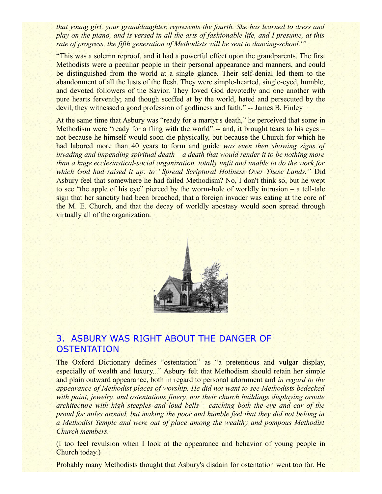*that young girl, your granddaughter, represents the fourth. She has learned to dress and play on the piano, and is versed in all the arts of fashionable life, and I presume, at this rate of progress, the fifth generation of Methodists will be sent to dancing-school.'"*

"This was a solemn reproof, and it had a powerful effect upon the grandparents. The first Methodists were a peculiar people in their personal appearance and manners, and could be distinguished from the world at a single glance. Their self-denial led them to the abandonment of all the lusts of the flesh. They were simple-hearted, single-eyed, humble, and devoted followers of the Savior. They loved God devotedly and one another with pure hearts fervently; and though scoffed at by the world, hated and persecuted by the devil, they witnessed a good profession of godliness and faith." -- James B. Finley

At the same time that Asbury was "ready for a martyr's death," he perceived that some in Methodism were "ready for a fling with the world" -- and, it brought tears to his eyes – not because he himself would soon die physically, but because the Church for which he had labored more than 40 years to form and guide *was even then showing signs of invading and impending spiritual death – a death that would render it to be nothing more than a huge ecclesiastical-social organization, totally unfit and unable to do the work for which God had raised it up: to "Spread Scriptural Holiness Over These Lands."* Did Asbury feel that somewhere he had failed Methodism? No, I don't think so, but he wept to see "the apple of his eye" pierced by the worm-hole of worldly intrusion – a tell-tale sign that her sanctity had been breached, that a foreign invader was eating at the core of the M. E. Church, and that the decay of worldly apostasy would soon spread through virtually all of the organization.



# 3. ASBURY WAS RIGHT ABOUT THE DANGER OF **OSTENTATION**

The Oxford Dictionary defines "ostentation" as "a pretentious and vulgar display, especially of wealth and luxury..." Asbury felt that Methodism should retain her simple and plain outward appearance, both in regard to personal adornment and *in regard to the appearance of Methodist places of worship. He did not want to see Methodists bedecked with paint, jewelry, and ostentatious finery, nor their church buildings displaying ornate architecture with high steeples and loud bells – catching both the eye and ear of the proud for miles around, but making the poor and humble feel that they did not belong in a Methodist Temple and were out of place among the wealthy and pompous Methodist Church members.*

(I too feel revulsion when I look at the appearance and behavior of young people in Church today.)

Probably many Methodists thought that Asbury's disdain for ostentation went too far. He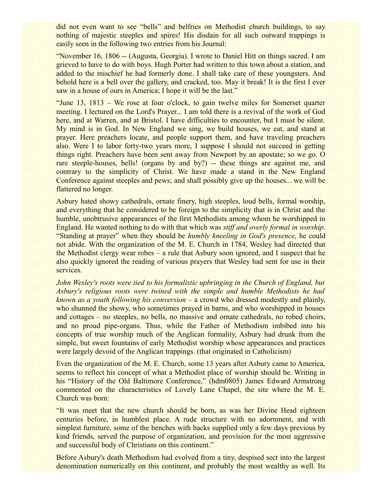did not even want to see "bells" and belfries on Methodist church buildings, to say nothing of majestic steeples and spires! His disdain for all such outward trappings is easily seen in the following two entries from his Journal:

"November 16, 1806 -- (Augusta, Georgia). I wrote to Daniel Hitt on things sacred. I am grieved to have to do with boys. Hugh Porter had written to this town about a station, and added to the mischief he had formerly done. I shall take care of these youngsters. And behold here is a bell over the gallery, and cracked, too. May it break! It is the first I ever saw in a house of ours in America; I hope it will be the last."

"June 13, 1813 – We rose at four o'clock, to gain twelve miles for Somerset quarter meeting. I lectured on the Lord's Prayer... I am told there is a revival of the work of God here, and at Warren, and at Bristol. I have difficulties to encounter, but I must be silent. My mind is in God. In New England we sing, we build houses, we eat, and stand at prayer. Here preachers locate, and people support them, and have traveling preachers also. Were I to labor forty-two years more, I suppose I should not succeed in getting things right. Preachers have been sent away from Newport by an apostate; so we go. O rare steeple-houses, bells! (organs by and by?) -- these things are against me, and contrary to the simplicity of Christ. We have made a stand in the New England Conference against steeples and pews; and shall possibly give up the houses... we will be flattered no longer.

Asbury hated showy cathedrals, ornate finery, high steeples, loud bells, formal worship, and everything that he considered to be foreign to the simplicity that is in Christ and the humble, unobtrusive appearances of the first Methodists among whom he worshipped in England. He wanted nothing to do with that which was *stiff and overly formal in worship*. "Standing at prayer" when they should be *humbly kneeling in God's presence,* he could not abide. With the organization of the M. E. Church in 1784, Wesley had directed that the Methodist clergy wear robes – a rule that Asbury soon ignored, and I suspect that he also quickly ignored the reading of various prayers that Wesley had sent for use in their services.

*John Wesley's roots were tied to his formalistic upbringing in the Church of England, but Asbury's religious roots were twined with the simple and humble Methodists he had known as a youth following his conversion* – a crowd who dressed modestly and plainly, who shunned the showy, who sometimes prayed in barns, and who worshipped in houses and cottages – no steeples, no bells, no massive and ornate cathedrals, no robed choirs, and no proud pipe-organs. Thus, while the Father of Methodism imbibed into his concepts of true worship much of the Anglican formality, Asbury had drunk from the simple, but sweet fountains of early Methodist worship whose appearances and practices were largely devoid of the Anglican trappings. (that originated in Catholicism)

Even the organization of the M. E. Church, some 13 years after Asbury came to America, seems to reflect his concept of what a Methodist place of worship should be. Writing in his "History of the Old Baltimore Conference," (hdm0805) James Edward Armstrong commented on the characteristics of Lovely Lane Chapel, the site where the M. E. Church was born:

"It was meet that the new church should be born, as was her Divine Head eighteen centuries before, in humblest place. A rude structure with no adornment, and with simplest furniture, some of the benches with backs supplied only a few days previous by kind friends, served the purpose of organization, and provision for the most aggressive and successful body of Christians on this continent."

Before Asbury's death Methodism had evolved from a tiny, despised sect into the largest denomination numerically on this continent, and probably the most wealthy as well. Its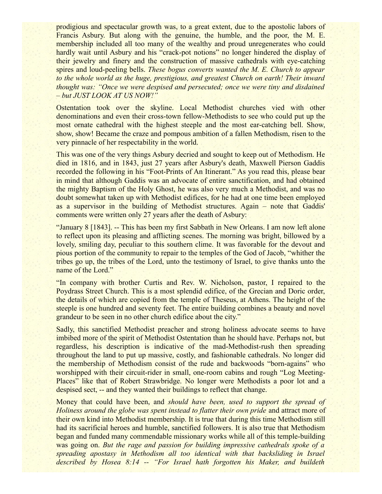prodigious and spectacular growth was, to a great extent, due to the apostolic labors of Francis Asbury. But along with the genuine, the humble, and the poor, the M. E. membership included all too many of the wealthy and proud unregenerates who could hardly wait until Asbury and his "crack-pot notions" no longer hindered the display of their jewelry and finery and the construction of massive cathedrals with eye-catching spires and loud-peeling bells. *These bogus converts wanted the M. E. Church to appear to the whole world as the huge, prestigious, and greatest Church on earth! Their inward thought was: "Once we were despised and persecuted; once we were tiny and disdained – but JUST LOOK AT US NOW!"*

Ostentation took over the skyline. Local Methodist churches vied with other denominations and even their cross-town fellow-Methodists to see who could put up the most ornate cathedral with the highest steeple and the most ear-catching bell. Show, show, show! Became the craze and pompous ambition of a fallen Methodism, risen to the very pinnacle of her respectability in the world.

This was one of the very things Asbury decried and sought to keep out of Methodism. He died in 1816, and in 1843, just 27 years after Asbury's death, Maxwell Pierson Gaddis recorded the following in his "Foot-Prints of An Itinerant." As you read this, please bear in mind that although Gaddis was an advocate of entire sanctification, and had obtained the mighty Baptism of the Holy Ghost, he was also very much a Methodist, and was no doubt somewhat taken up with Methodist edifices, for he had at one time been employed as a supervisor in the building of Methodist structures. Again – note that Gaddis' comments were written only 27 years after the death of Asbury:

"January 8 [1843]. -- This has been my first Sabbath in New Orleans. I am now left alone to reflect upon its pleasing and afflicting scenes. The morning was bright, billowed by a lovely, smiling day, peculiar to this southern clime. It was favorable for the devout and pious portion of the community to repair to the temples of the God of Jacob, "whither the tribes go up, the tribes of the Lord, unto the testimony of Israel, to give thanks unto the name of the Lord."

"In company with brother Curtis and Rev. W. Nicholson, pastor, I repaired to the Poydrass Street Church. This is a most splendid edifice, of the Grecian and Doric order, the details of which are copied from the temple of Theseus, at Athens. The height of the steeple is one hundred and seventy feet. The entire building combines a beauty and novel grandeur to be seen in no other church edifice about the city."

Sadly, this sanctified Methodist preacher and strong holiness advocate seems to have imbibed more of the spirit of Methodist Ostentation than he should have. Perhaps not, but regardless, his description is indicative of the mad-Methodist-rush then spreading throughout the land to put up massive, costly, and fashionable cathedrals. No longer did the membership of Methodism consist of the rude and backwoods "born-agains" who worshipped with their circuit-rider in small, one-room cabins and rough "Log Meeting-Places" like that of Robert Strawbridge. No longer were Methodists a poor lot and a despised sect, -- and they wanted their buildings to reflect that change.

Money that could have been, and *should have been, used to support the spread of Holiness around the globe was spent instead to flatter their own pride* and attract more of their own kind into Methodist membership. It is true that during this time Methodism still had its sacrificial heroes and humble, sanctified followers. It is also true that Methodism began and funded many commendable missionary works while all of this temple-building was going on. *But the rage and passion for building impressive cathedrals spoke of a spreading apostasy in Methodism all too identical with that backsliding in Israel described by Hosea 8:14 -- "For Israel hath forgotten his Maker, and buildeth*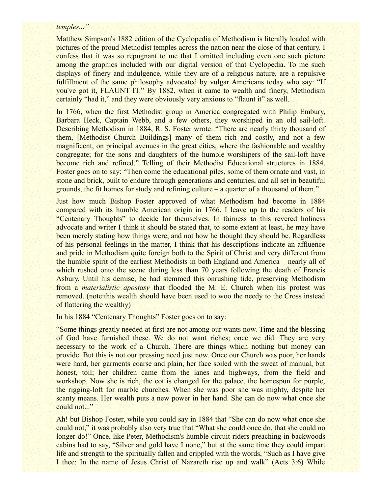#### *temples..."*

Matthew Simpson's 1882 edition of the Cyclopedia of Methodism is literally loaded with pictures of the proud Methodist temples across the nation near the close of that century. I confess that it was so repugnant to me that I omitted including even one such picture among the graphics included with our digital version of that Cyclopedia. To me such displays of finery and indulgence, while they are of a religious nature, are a repulsive fulfillment of the same philosophy advocated by vulgar Americans today who say: "If you've got it, FLAUNT IT." By 1882, when it came to wealth and finery, Methodism certainly "had it," and they were obviously very anxious to "flaunt it" as well.

In 1766, when the first Methodist group in America congregated with Philip Embury, Barbara Heck, Captain Webb, and a few others, they worshiped in an old sail-loft. Describing Methodism in 1884, R. S. Foster wrote: "There are nearly thirty thousand of them, [Methodist Church Buildings] many of them rich and costly, and not a few magnificent, on principal avenues in the great cities, where the fashionable and wealthy congregate; for the sons and daughters of the humble worshipers of the sail-loft have become rich and refined." Telling of their Methodist Educational structures in 1884, Foster goes on to say: "Then come the educational piles, some of them ornate and vast, in stone and brick, built to endure through generations and centuries, and all set in beautiful grounds, the fit homes for study and refining culture – a quarter of a thousand of them."

Just how much Bishop Foster approved of what Methodism had become in 1884 compared with its humble American origin in 1766, I leave up to the readers of his "Centenary Thoughts" to decide for themselves. In fairness to this revered holiness advocate and writer I think it should be stated that, to some extent at least, he may have been merely stating how things were, and not how he thought they should be. Regardless of his personal feelings in the matter, I think that his descriptions indicate an affluence and pride in Methodism quite foreign both to the Spirit of Christ and very different from the humble spirit of the earliest Methodists in both England and America – nearly all of which rushed onto the scene during less than 70 years following the death of Francis Asbury. Until his demise, he had stemmed this onrushing tide, preserving Methodism from a *materialistic apostasy* that flooded the M. E. Church when his protest was removed. (note:this wealth should have been used to woo the needy to the Cross instead of flattering the wealthy)

In his 1884 "Centenary Thoughts" Foster goes on to say:

"Some things greatly needed at first are not among our wants now. Time and the blessing of God have furnished these. We do not want riches; once we did. They are very necessary to the work of a Church. There are things which nothing but money can provide. But this is not our pressing need just now. Once our Church was poor, her hands were hard, her garments coarse and plain, her face soiled with the sweat of manual, but honest, toil; her children came from the lanes and highways, from the field and workshop. Now she is rich, the cot is changed for the palace, the homespun for purple, the rigging-loft for marble churches. When she was poor she was mighty, despite her scanty means. Her wealth puts a new power in her hand. She can do now what once she could not..."

Ah! but Bishop Foster, while you could say in 1884 that "She can do now what once she could not," it was probably also very true that "What she could once do, that she could no longer do!" Once, like Peter, Methodism's humble circuit-riders preaching in backwoods cabins had to say, "Silver and gold have I none," but at the same time they could impart life and strength to the spiritually fallen and crippled with the words, "Such as I have give I thee: In the name of Jesus Christ of Nazareth rise up and walk" (Acts 3:6) While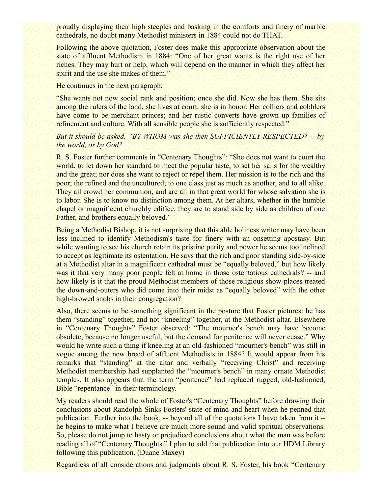proudly displaying their high steeples and basking in the comforts and finery of marble cathedrals, no doubt many Methodist ministers in 1884 could not do THAT.

Following the above quotation, Foster does make this appropriate observation about the state of affluent Methodism in 1884: "One of her great wants is the right use of her riches. They may hurt or help, which will depend on the manner in which they affect her spirit and the use she makes of them."

#### He continues in the next paragraph:

"She wants not now social rank and position; once she did. Now she has them. She sits among the rulers of the land, she lives at court, she is in honor. Her colliers and cobblers have come to be merchant princes; and her rustic converts have grown up families of refinement and culture. With all sensible people she is sufficiently respected."

### *But it should be asked, "BY WHOM was she then SUFFICIENTLY RESPECTED? -- by the world, or by God?*

R. S. Foster further comments in "Centenary Thoughts": "She does not want to court the world, to let down her standard to meet the popular taste, to set her sails for the wealthy and the great; nor does she want to reject or repel them. Her mission is to the rich and the poor; the refined and the uncultured; to one class just as much as another, and to all alike. They all crowd her communion, and are all in that great world for whose salvation she is to labor. She is to know no distinction among them. At her altars, whether in the humble chapel or magnificent churchly edifice, they are to stand side by side as children of one Father, and brothers equally beloved."

Being a Methodist Bishop, it is not surprising that this able holiness writer may have been less inclined to identify Methodism's taste for finery with an onsetting apostasy. But while wanting to see his church retain its pristine purity and power he seems too inclined to accept as legitimate its ostentation. He says that the rich and poor standing side-by-side at a Methodist altar in a magnificent cathedral must be "equally beloved," but how likely was it that very many poor people felt at home in those ostentatious cathedrals? -- and how likely is it that the proud Methodist members of those religious show-places treated the down-and-outers who did come into their midst as "equally beloved" with the other high-browed snobs in their congregation?

Also, there seems to be something significant in the posture that Foster pictures: he has them "standing" together, and not "kneeling" together, at the Methodist altar. Elsewhere in "Centenary Thoughts" Foster observed: "The mourner's bench may have become obsolete, because no longer useful, but the demand for penitence will never cease." Why would he write such a thing if kneeling at an old-fashioned "mourner's bench" was still in vogue among the new breed of affluent Methodists in 1884? It would appear from his remarks that "standing" at the altar and verbally "receiving Christ" and receiving Methodist membership had supplanted the "mourner's bench" in many ornate Methodist temples. It also appears that the term "penitence" had replaced rugged, old-fashioned, Bible "repentance" in their terminology.

My readers should read the whole of Foster's "Centenary Thoughts" before drawing their conclusions about Randolph Sinks Fosters' state of mind and heart when he penned that publication. Further into the book,  $-$  beyond all of the quotations I have taken from it  $$ he begins to make what I believe are much more sound and valid spiritual observations. So, please do not jump to hasty or prejudiced conclusions about what the man was before reading all of "Centenary Thoughts." I plan to add that publication into our HDM Library following this publication. (Duane Maxey)

Regardless of all considerations and judgments about R. S. Foster, his book "Centenary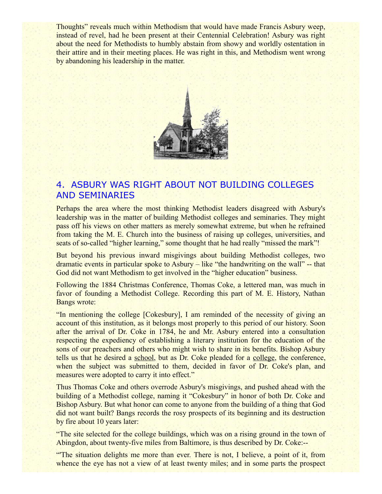Thoughts" reveals much within Methodism that would have made Francis Asbury weep, instead of revel, had he been present at their Centennial Celebration! Asbury was right about the need for Methodists to humbly abstain from showy and worldly ostentation in their attire and in their meeting places. He was right in this, and Methodism went wrong by abandoning his leadership in the matter.



# 4. ASBURY WAS RIGHT ABOUT NOT BUILDING COLLEGES AND SEMINARIES

Perhaps the area where the most thinking Methodist leaders disagreed with Asbury's leadership was in the matter of building Methodist colleges and seminaries. They might pass off his views on other matters as merely somewhat extreme, but when he refrained from taking the M. E. Church into the business of raising up colleges, universities, and seats of so-called "higher learning," some thought that he had really "missed the mark"!

But beyond his previous inward misgivings about building Methodist colleges, two dramatic events in particular spoke to Asbury – like "the handwriting on the wall" -- that God did not want Methodism to get involved in the "higher education" business.

Following the 1884 Christmas Conference, Thomas Coke, a lettered man, was much in favor of founding a Methodist College. Recording this part of M. E. History, Nathan Bangs wrote:

"In mentioning the college [Cokesbury], I am reminded of the necessity of giving an account of this institution, as it belongs most properly to this period of our history. Soon after the arrival of Dr. Coke in 1784, he and Mr. Asbury entered into a consultation respecting the expediency of establishing a literary institution for the education of the sons of our preachers and others who might wish to share in its benefits. Bishop Asbury tells us that he desired a school, but as Dr. Coke pleaded for a college, the conference, when the subject was submitted to them, decided in favor of Dr. Coke's plan, and measures were adopted to carry it into effect."

Thus Thomas Coke and others overrode Asbury's misgivings, and pushed ahead with the building of a Methodist college, naming it "Cokesbury" in honor of both Dr. Coke and Bishop Asbury. But what honor can come to anyone from the building of a thing that God did not want built? Bangs records the rosy prospects of its beginning and its destruction by fire about 10 years later:

"The site selected for the college buildings, which was on a rising ground in the town of Abingdon, about twenty-five miles from Baltimore, is thus described by Dr. Coke:--

"The situation delights me more than ever. There is not, I believe, a point of it, from whence the eye has not a view of at least twenty miles; and in some parts the prospect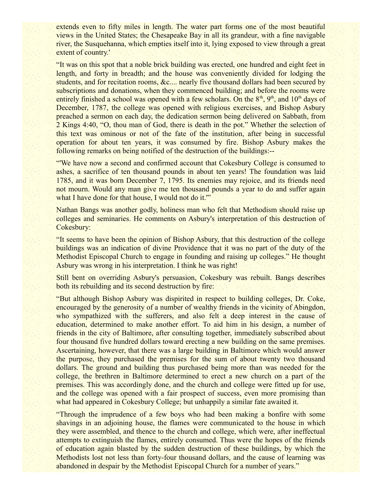extends even to fifty miles in length. The water part forms one of the most beautiful views in the United States; the Chesapeake Bay in all its grandeur, with a fine navigable river, the Susquehanna, which empties itself into it, lying exposed to view through a great extent of country.'

"It was on this spot that a noble brick building was erected, one hundred and eight feet in length, and forty in breadth; and the house was conveniently divided for lodging the students, and for recitation rooms, &c.... nearly five thousand dollars had been secured by subscriptions and donations, when they commenced building; and before the rooms were entirely finished a school was opened with a few scholars. On the  $8<sup>th</sup>$ ,  $9<sup>th</sup>$ , and  $10<sup>th</sup>$  days of December, 1787, the college was opened with religious exercises, and Bishop Asbury preached a sermon on each day, the dedication sermon being delivered on Sabbath, from 2 Kings 4:40, "O, thou man of God, there is death in the pot." Whether the selection of this text was ominous or not of the fate of the institution, after being in successful operation for about ten years, it was consumed by fire. Bishop Asbury makes the following remarks on being notified of the destruction of the buildings:--

"'We have now a second and confirmed account that Cokesbury College is consumed to ashes, a sacrifice of ten thousand pounds in about ten years! The foundation was laid 1785, and it was born December 7, 1795. Its enemies may rejoice, and its friends need not mourn. Would any man give me ten thousand pounds a year to do and suffer again what I have done for that house, I would not do it."

Nathan Bangs was another godly, holiness man who felt that Methodism should raise up colleges and seminaries. He comments on Asbury's interpretation of this destruction of Cokesbury:

"It seems to have been the opinion of Bishop Asbury, that this destruction of the college buildings was an indication of divine Providence that it was no part of the duty of the Methodist Episcopal Church to engage in founding and raising up colleges." He thought Asbury was wrong in his interpretation. I think he was right!

Still bent on overriding Asbury's persuasion, Cokesbury was rebuilt. Bangs describes both its rebuilding and its second destruction by fire:

"But although Bishop Asbury was dispirited in respect to building colleges, Dr. Coke, encouraged by the generosity of a number of wealthy friends in the vicinity of Abingdon, who sympathized with the sufferers, and also felt a deep interest in the cause of education, determined to make another effort. To aid him in his design, a number of friends in the city of Baltimore, after consulting together, immediately subscribed about four thousand five hundred dollars toward erecting a new building on the same premises. Ascertaining, however, that there was a large building in Baltimore which would answer the purpose, they purchased the premises for the sum of about twenty two thousand dollars. The ground and building thus purchased being more than was needed for the college, the brethren in Baltimore determined to erect a new church on a part of the premises. This was accordingly done, and the church and college were fitted up for use, and the college was opened with a fair prospect of success, even more promising than what had appeared in Cokesbury College; but unhappily a similar fate awaited it.

"Through the imprudence of a few boys who had been making a bonfire with some shavings in an adjoining house, the flames were communicated to the house in which they were assembled, and thence to the church and college, which were, after ineffectual attempts to extinguish the flames, entirely consumed. Thus were the hopes of the friends of education again blasted by the sudden destruction of these buildings, by which the Methodists lost not less than forty-four thousand dollars, and the cause of learning was abandoned in despair by the Methodist Episcopal Church for a number of years."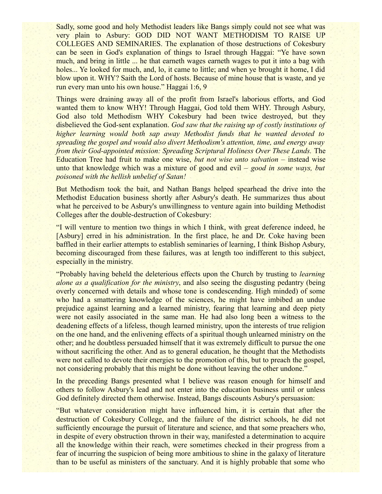Sadly, some good and holy Methodist leaders like Bangs simply could not see what was very plain to Asbury: GOD DID NOT WANT METHODISM TO RAISE UP COLLEGES AND SEMINARIES. The explanation of those destructions of Cokesbury can be seen in God's explanation of things to Israel through Haggai: "Ye have sown much, and bring in little ... he that earneth wages earneth wages to put it into a bag with holes... Ye looked for much, and, lo, it came to little; and when ye brought it home, I did blow upon it. WHY? Saith the Lord of hosts. Because of mine house that is waste, and ye run every man unto his own house." Haggai 1:6, 9

Things were draining away all of the profit from Israel's laborious efforts, and God wanted them to know WHY! Through Haggai, God told them WHY. Through Asbury, God also told Methodism WHY Cokesbury had been twice destroyed, but they disbelieved the God-sent explanation. *God saw that the raising up of costly institutions of higher learning would both sap away Methodist funds that he wanted devoted to spreading the gospel and would also divert Methodism's attention, time, and energy away from their God-appointed mission: Spreading Scriptural Holiness Over These Lands.* The Education Tree had fruit to make one wise, *but not wise unto salvation –* instead wise unto that knowledge which was a mixture of good and evil – *good in some ways, but poisoned with the hellish unbelief of Satan!*

But Methodism took the bait, and Nathan Bangs helped spearhead the drive into the Methodist Education business shortly after Asbury's death. He summarizes thus about what he perceived to be Asbury's unwillingness to venture again into building Methodist Colleges after the double-destruction of Cokesbury:

"I will venture to mention two things in which I think, with great deference indeed, he [Asbury] erred in his administration. In the first place, he and Dr. Coke having been baffled in their earlier attempts to establish seminaries of learning, I think Bishop Asbury, becoming discouraged from these failures, was at length too indifferent to this subject, especially in the ministry.

"Probably having beheld the deleterious effects upon the Church by trusting to *learning alone as a qualification for the ministry*, and also seeing the disgusting pedantry (being overly concerned with details and whose tone is condescending. High minded) of some who had a smattering knowledge of the sciences, he might have imbibed an undue prejudice against learning and a learned ministry, fearing that learning and deep piety were not easily associated in the same man. He had also long been a witness to the deadening effects of a lifeless, though learned ministry, upon the interests of true religion on the one hand, and the enlivening effects of a spiritual though unlearned ministry on the other; and he doubtless persuaded himself that it was extremely difficult to pursue the one without sacrificing the other. And as to general education, he thought that the Methodists were not called to devote their energies to the promotion of this, but to preach the gospel, not considering probably that this might be done without leaving the other undone."

In the preceding Bangs presented what I believe was reason enough for himself and others to follow Asbury's lead and not enter into the education business until or unless God definitely directed them otherwise. Instead, Bangs discounts Asbury's persuasion:

"But whatever consideration might have influenced him, it is certain that after the destruction of Cokesbury College, and the failure of the district schools, he did not sufficiently encourage the pursuit of literature and science, and that some preachers who, in despite of every obstruction thrown in their way, manifested a determination to acquire all the knowledge within their reach, were sometimes checked in their progress from a fear of incurring the suspicion of being more ambitious to shine in the galaxy of literature than to be useful as ministers of the sanctuary. And it is highly probable that some who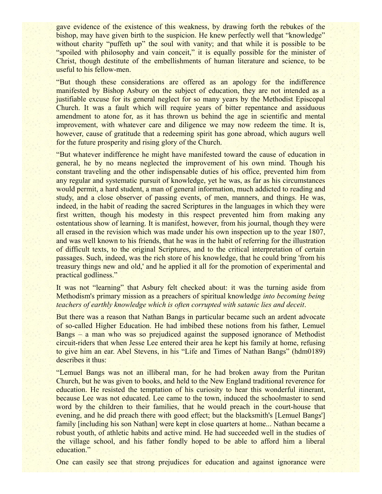gave evidence of the existence of this weakness, by drawing forth the rebukes of the bishop, may have given birth to the suspicion. He knew perfectly well that "knowledge" without charity "puffeth up" the soul with vanity; and that while it is possible to be "spoiled with philosophy and vain conceit," it is equally possible for the minister of Christ, though destitute of the embellishments of human literature and science, to be useful to his fellow-men.

"But though these considerations are offered as an apology for the indifference manifested by Bishop Asbury on the subject of education, they are not intended as a justifiable excuse for its general neglect for so many years by the Methodist Episcopal Church. It was a fault which will require years of bitter repentance and assiduous amendment to atone for, as it has thrown us behind the age in scientific and mental improvement, with whatever care and diligence we may now redeem the time. It is, however, cause of gratitude that a redeeming spirit has gone abroad, which augurs well for the future prosperity and rising glory of the Church.

"But whatever indifference he might have manifested toward the cause of education in general, he by no means neglected the improvement of his own mind. Though his constant traveling and the other indispensable duties of his office, prevented him from any regular and systematic pursuit of knowledge, yet he was, as far as his circumstances would permit, a hard student, a man of general information, much addicted to reading and study, and a close observer of passing events, of men, manners, and things. He was, indeed, in the habit of reading the sacred Scriptures in the languages in which they were first written, though his modesty in this respect prevented him from making any ostentatious show of learning. It is manifest, however, from his journal, though they were all erased in the revision which was made under his own inspection up to the year 1807, and was well known to his friends, that he was in the habit of referring for the illustration of difficult texts, to the original Scriptures, and to the critical interpretation of certain passages. Such, indeed, was the rich store of his knowledge, that he could bring 'from his treasury things new and old,' and he applied it all for the promotion of experimental and practical godliness."

### It was not "learning" that Asbury felt checked about: it was the turning aside from Methodism's primary mission as a preachers of spiritual knowledge *into becoming being teachers of earthly knowledge which is often corrupted with satanic lies and deceit*.

But there was a reason that Nathan Bangs in particular became such an ardent advocate of so-called Higher Education. He had imbibed these notions from his father, Lemuel Bangs – a man who was so prejudiced against the supposed ignorance of Methodist circuit-riders that when Jesse Lee entered their area he kept his family at home, refusing to give him an ear. Abel Stevens, in his "Life and Times of Nathan Bangs" (hdm0189) describes it thus:

"Lemuel Bangs was not an illiberal man, for he had broken away from the Puritan Church, but he was given to books, and held to the New England traditional reverence for education. He resisted the temptation of his curiosity to hear this wonderful itinerant, because Lee was not educated. Lee came to the town, induced the schoolmaster to send word by the children to their families, that he would preach in the court-house that evening, and he did preach there with good effect; but the blacksmith's [Lemuel Bangs'] family [including his son Nathan] were kept in close quarters at home... Nathan became a robust youth, of athletic habits and active mind. He had succeeded well in the studies of the village school, and his father fondly hoped to be able to afford him a liberal education."

One can easily see that strong prejudices for education and against ignorance were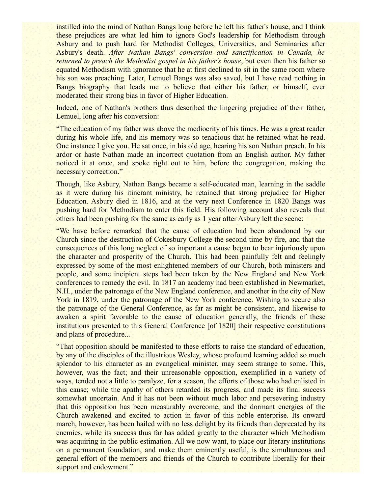instilled into the mind of Nathan Bangs long before he left his father's house, and I think these prejudices are what led him to ignore God's leadership for Methodism through Asbury and to push hard for Methodist Colleges, Universities, and Seminaries after Asbury's death. *After Nathan Bangs' conversion and sanctification in Canada, he returned to preach the Methodist gospel in his father's house*, but even then his father so equated Methodism with ignorance that he at first declined to sit in the same room where his son was preaching. Later, Lemuel Bangs was also saved, but I have read nothing in Bangs biography that leads me to believe that either his father, or himself, ever moderated their strong bias in favor of Higher Education.

Indeed, one of Nathan's brothers thus described the lingering prejudice of their father, Lemuel, long after his conversion:

"The education of my father was above the mediocrity of his times. He was a great reader during his whole life, and his memory was so tenacious that he retained what he read. One instance I give you. He sat once, in his old age, hearing his son Nathan preach. In his ardor or haste Nathan made an incorrect quotation from an English author. My father noticed it at once, and spoke right out to him, before the congregation, making the necessary correction."

Though, like Asbury, Nathan Bangs became a self-educated man, learning in the saddle as it were during his itinerant ministry, he retained that strong prejudice for Higher Education. Asbury died in 1816, and at the very next Conference in 1820 Bangs was pushing hard for Methodism to enter this field. His following account also reveals that others had been pushing for the same as early as 1 year after Asbury left the scene:

"We have before remarked that the cause of education had been abandoned by our Church since the destruction of Cokesbury College the second time by fire, and that the consequences of this long neglect of so important a cause began to bear injuriously upon the character and prosperity of the Church. This had been painfully felt and feelingly expressed by some of the most enlightened members of our Church, both ministers and people, and some incipient steps had been taken by the New England and New York conferences to remedy the evil. In 1817 an academy had been established in Newmarket, N.H., under the patronage of the New England conference, and another in the city of New York in 1819, under the patronage of the New York conference. Wishing to secure also the patronage of the General Conference, as far as might be consistent, and likewise to awaken a spirit favorable to the cause of education generally, the friends of these institutions presented to this General Conference [of 1820] their respective constitutions and plans of procedure...

"That opposition should be manifested to these efforts to raise the standard of education, by any of the disciples of the illustrious Wesley, whose profound learning added so much splendor to his character as an evangelical minister, may seem strange to some. This, however, was the fact; and their unreasonable opposition, exemplified in a variety of ways, tended not a little to paralyze, for a season, the efforts of those who had enlisted in this cause; while the apathy of others retarded its progress, and made its final success somewhat uncertain. And it has not been without much labor and persevering industry that this opposition has been measurably overcome, and the dormant energies of the Church awakened and excited to action in favor of this noble enterprise. Its onward march, however, has been hailed with no less delight by its friends than deprecated by its enemies, while its success thus far has added greatly to the character which Methodism was acquiring in the public estimation. All we now want, to place our literary institutions on a permanent foundation, and make them eminently useful, is the simultaneous and general effort of the members and friends of the Church to contribute liberally for their support and endowment."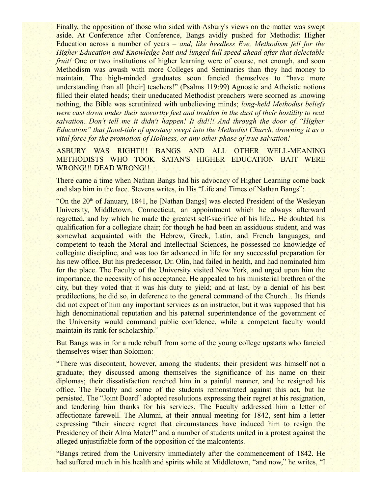Finally, the opposition of those who sided with Asbury's views on the matter was swept aside. At Conference after Conference, Bangs avidly pushed for Methodist Higher Education across a number of years – *and, like heedless Eve, Methodism fell for the Higher Education and Knowledge bait and lunged full speed ahead after that delectable fruit!* One or two institutions of higher learning were of course, not enough, and soon Methodism was awash with more Colleges and Seminaries than they had money to maintain. The high-minded graduates soon fancied themselves to "have more understanding than all [their] teachers!" (Psalms 119:99) Agnostic and Atheistic notions filled their elated heads; their uneducated Methodist preachers were scorned as knowing nothing, the Bible was scrutinized with unbelieving minds; *long-held Methodist beliefs were cast down under their unworthy feet and trodden in the dust of their hostility to real salvation. Don't tell me it didn't happen! It did!!! And through the door of "Higher Education" that flood-tide of apostasy swept into the Methodist Church, drowning it as a vital force for the promotion of Holiness, or any other phase of true salvation!*

ASBURY WAS RIGHT!!! BANGS AND ALL OTHER WELL-MEANING METHODISTS WHO TOOK SATAN'S HIGHER EDUCATION BAIT WERE WRONG!!! DEAD WRONG!!

There came a time when Nathan Bangs had his advocacy of Higher Learning come back and slap him in the face. Stevens writes, in His "Life and Times of Nathan Bangs":

"On the 20<sup>th</sup> of January, 1841, he [Nathan Bangs] was elected President of the Wesleyan University, Middletown, Connecticut, an appointment which he always afterward regretted, and by which he made the greatest self-sacrifice of his life... He doubted his qualification for a collegiate chair; for though he had been an assiduous student, and was somewhat acquainted with the Hebrew, Greek, Latin, and French languages, and competent to teach the Moral and Intellectual Sciences, he possessed no knowledge of collegiate discipline, and was too far advanced in life for any successful preparation for his new office. But his predecessor, Dr. Olin, had failed in health, and had nominated him for the place. The Faculty of the University visited New York, and urged upon him the importance, the necessity of his acceptance. He appealed to his ministerial brethren of the city, but they voted that it was his duty to yield; and at last, by a denial of his best predilections, he did so, in deference to the general command of the Church... Its friends did not expect of him any important services as an instructor, but it was supposed that his high denominational reputation and his paternal superintendence of the government of the University would command public confidence, while a competent faculty would maintain its rank for scholarship."

But Bangs was in for a rude rebuff from some of the young college upstarts who fancied themselves wiser than Solomon:

"There was discontent, however, among the students; their president was himself not a graduate; they discussed among themselves the significance of his name on their diplomas; their dissatisfaction reached him in a painful manner, and he resigned his office. The Faculty and some of the students remonstrated against this act, but he persisted. The "Joint Board" adopted resolutions expressing their regret at his resignation, and tendering him thanks for his services. The Faculty addressed him a letter of affectionate farewell. The Alumni, at their annual meeting for 1842, sent him a letter expressing "their sincere regret that circumstances have induced him to resign the Presidency of their Alma Mater!" and a number of students united in a protest against the alleged unjustifiable form of the opposition of the malcontents.

"Bangs retired from the University immediately after the commencement of 1842. He had suffered much in his health and spirits while at Middletown, "and now," he writes, "I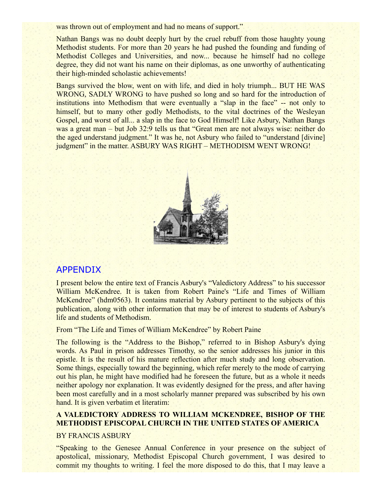was thrown out of employment and had no means of support."

Nathan Bangs was no doubt deeply hurt by the cruel rebuff from those haughty young Methodist students. For more than 20 years he had pushed the founding and funding of Methodist Colleges and Universities, and now... because he himself had no college degree, they did not want his name on their diplomas, as one unworthy of authenticating their high-minded scholastic achievements!

Bangs survived the blow, went on with life, and died in holy triumph... BUT HE WAS WRONG, SADLY WRONG to have pushed so long and so hard for the introduction of institutions into Methodism that were eventually a "slap in the face" -- not only to himself, but to many other godly Methodists, to the vital doctrines of the Wesleyan Gospel, and worst of all... a slap in the face to God Himself! Like Asbury, Nathan Bangs was a great man – but Job 32:9 tells us that "Great men are not always wise: neither do the aged understand judgment." It was he, not Asbury who failed to "understand [divine] judgment" in the matter. ASBURY WAS RIGHT – METHODISM WENT WRONG!



### APPENDIX

I present below the entire text of Francis Asbury's "Valedictory Address" to his successor William McKendree. It is taken from Robert Paine's "Life and Times of William McKendree" (hdm0563). It contains material by Asbury pertinent to the subjects of this publication, along with other information that may be of interest to students of Asbury's life and students of Methodism.

From "The Life and Times of William McKendree" by Robert Paine

The following is the "Address to the Bishop," referred to in Bishop Asbury's dying words. As Paul in prison addresses Timothy, so the senior addresses his junior in this epistle. It is the result of his mature reflection after much study and long observation. Some things, especially toward the beginning, which refer merely to the mode of carrying out his plan, he might have modified had he foreseen the future, but as a whole it needs neither apology nor explanation. It was evidently designed for the press, and after having been most carefully and in a most scholarly manner prepared was subscribed by his own hand. It is given verbatim et literatim:

### **A VALEDICTORY ADDRESS TO WILLIAM MCKENDREE, BISHOP OF THE METHODIST EPISCOPAL CHURCH IN THE UNITED STATES OF AMERICA**

### BY FRANCIS ASBURY

"Speaking to the Genesee Annual Conference in your presence on the subject of apostolical, missionary, Methodist Episcopal Church government, I was desired to commit my thoughts to writing. I feel the more disposed to do this, that I may leave a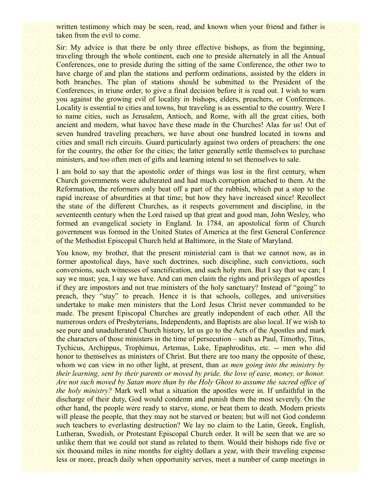written testimony which may be seen, read, and known when your friend and father is taken from the evil to come.

Sir: My advice is that there be only three effective bishops, as from the beginning, traveling through the whole continent, each one to preside alternately in all the Annual Conferences, one to preside during the sitting of the same Conference, the other two to have charge of and plan the stations and perform ordinations, assisted by the elders in both branches. The plan of stations should be submitted to the President of the Conferences, in triune order, to give a final decision before it is read out. I wish to warn you against the growing evil of locality in bishops, elders, preachers, or Conferences. Locality is essential to cities and towns, but traveling is as essential to the country. Were I to name cities, such as Jerusalem, Antioch, and Rome, with all the great cities, both ancient and modern, what havoc have these made in the Churches! Alas for us! Out of seven hundred traveling preachers, we have about one hundred located in towns and cities and small rich circuits. Guard particularly against two orders of preachers: the one for the country, the other for the cities; the latter generally settle themselves to purchase ministers, and too often men of gifts and learning intend to set themselves to sale.

I am bold to say that the apostolic order of things was lost in the first century, when Church governments were adulterated and had much corruption attached to them. At the Reformation, the reformers only beat off a part of the rubbish, which put a stop to the rapid increase of absurdities at that time; but how they have increased since! Recollect the state of the different Churches, as it respects government and discipline, in the seventeenth century when the Lord raised up that great and good man, John Wesley, who formed an evangelical society in England. In 1784, an apostolical form of Church government was formed in the United States of America at the first General Conference of the Methodist Episcopal Church held at Baltimore, in the State of Maryland.

You know, my brother, that the present ministerial cant is that we cannot now, as in former apostolical days, have such doctrines, such discipline, such convictions, such conversions, such witnesses of sanctification, and such holy men. But I say that we can; I say we must; yea, I say we have. And can men claim the rights and privileges of apostles if they are impostors and not true ministers of the holy sanctuary? Instead of "going" to preach, they "stay" to preach. Hence it is that schools, colleges, and universities undertake to make men ministers that the Lord Jesus Christ never commanded to be made. The present Episcopal Churches are greatly independent of each other. All the numerous orders of Presbyterians, Independents, and Baptists are also local. If we wish to see pure and unadulterated Church history, let us go to the Acts of the Apostles and mark the characters of those ministers in the time of persecution – such as Paul, Timothy, Titus, Tychicus, Archippus, Trophimus, Artemas, Luke, Epaphroditus, etc. -- men who did honor to themselves as ministers of Christ. But there are too many the opposite of these, whom we can view in no other light, at present, than *as men going into the ministry by their learning, sent by their parents or moved by pride, the love of ease, money, or honor. Are not such moved by Satan more than by the Holy Ghost to assume the sacred office of the holy ministry?* Mark well what a situation the apostles were in. If unfaithful in the discharge of their duty, God would condemn and punish them the most severely. On the other hand, the people were ready to starve, stone, or beat them to death. Modern priests will please the people, that they may not be starved or beaten; but will not God condemn such teachers to everlasting destruction? We lay no claim to the Latin, Greek, English, Lutheran, Swedish, or Protestant Episcopal Church order. It will be seen that we are so unlike them that we could not stand as related to them. Would their bishops ride five or six thousand miles in nine months for eighty dollars a year, with their traveling expense less or more, preach daily when opportunity serves, meet a number of camp meetings in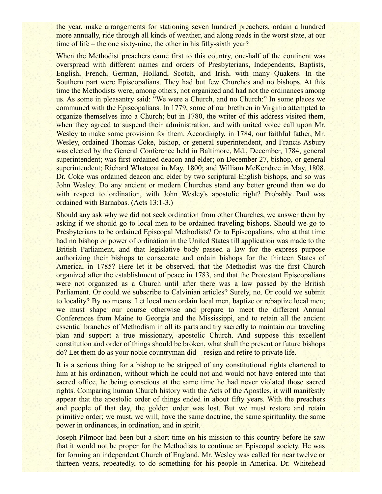the year, make arrangements for stationing seven hundred preachers, ordain a hundred more annually, ride through all kinds of weather, and along roads in the worst state, at our time of life – the one sixty-nine, the other in his fifty-sixth year?

When the Methodist preachers came first to this country, one-half of the continent was overspread with different names and orders of Presbyterians, Independents, Baptists, English, French, German, Holland, Scotch, and Irish, with many Quakers. In the Southern part were Episcopalians. They had but few Churches and no bishops. At this time the Methodists were, among others, not organized and had not the ordinances among us. As some in pleasantry said: "We were a Church, and no Church:" In some places we communed with the Episcopalians. In 1779, some of our brethren in Virginia attempted to organize themselves into a Church; but in 1780, the writer of this address visited them, when they agreed to suspend their administration, and with united voice call upon Mr. Wesley to make some provision for them. Accordingly, in 1784, our faithful father, Mr. Wesley, ordained Thomas Coke, bishop, or general superintendent, and Francis Asbury was elected by the General Conference held in Baltimore, Md., December, 1784, general superintendent; was first ordained deacon and elder; on December 27, bishop, or general superintendent; Richard Whatcoat in May, 1800; and William McKendree in May, 1808. Dr. Coke was ordained deacon and elder by two scriptural English bishops, and so was John Wesley. Do any ancient or modern Churches stand any better ground than we do with respect to ordination, with John Wesley's apostolic right? Probably Paul was ordained with Barnabas. (Acts 13:1-3.)

Should any ask why we did not seek ordination from other Churches, we answer them by asking if we should go to local men to be ordained traveling bishops. Should we go to Presbyterians to be ordained Episcopal Methodists? Or to Episcopalians, who at that time had no bishop or power of ordination in the United States till application was made to the British Parliament, and that legislative body passed a law for the express purpose authorizing their bishops to consecrate and ordain bishops for the thirteen States of America, in 1785? Here let it be observed, that the Methodist was the first Church organized after the establishment of peace in 1783, and that the Protestant Episcopalians were not organized as a Church until after there was a law passed by the British Parliament. Or could we subscribe to Calvinian articles? Surely, no. Or could we submit to locality? By no means. Let local men ordain local men, baptize or rebaptize local men; we must shape our course otherwise and prepare to meet the different Annual Conferences from Maine to Georgia and the Mississippi, and to retain all the ancient essential branches of Methodism in all its parts and try sacredly to maintain our traveling plan and support a true missionary, apostolic Church. And suppose this excellent constitution and order of things should be broken, what shall the present or future bishops do? Let them do as your noble countryman did – resign and retire to private life.

It is a serious thing for a bishop to be stripped of any constitutional rights chartered to him at his ordination, without which he could not and would not have entered into that sacred office, he being conscious at the same time he had never violated those sacred rights. Comparing human Church history with the Acts of the Apostles, it will manifestly appear that the apostolic order of things ended in about fifty years. With the preachers and people of that day, the golden order was lost. But we must restore and retain primitive order; we must, we will, have the same doctrine, the same spirituality, the same power in ordinances, in ordination, and in spirit.

Joseph Pilmoor had been but a short time on his mission to this country before he saw that it would not be proper for the Methodists to continue an Episcopal society. He was for forming an independent Church of England. Mr. Wesley was called for near twelve or thirteen years, repeatedly, to do something for his people in America. Dr. Whitehead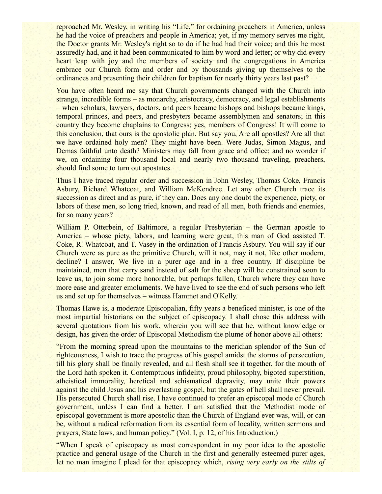reproached Mr. Wesley, in writing his "Life," for ordaining preachers in America, unless he had the voice of preachers and people in America; yet, if my memory serves me right, the Doctor grants Mr. Wesley's right so to do if he had had their voice; and this he most assuredly had, and it had been communicated to him by word and letter; or why did every heart leap with joy and the members of society and the congregations in America embrace our Church form and order and by thousands giving up themselves to the ordinances and presenting their children for baptism for nearly thirty years last past?

You have often heard me say that Church governments changed with the Church into strange, incredible forms – as monarchy, aristocracy, democracy, and legal establishments – when scholars, lawyers, doctors, and peers became bishops and bishops became kings, temporal princes, and peers, and presbyters became assemblymen and senators; in this country they become chaplains to Congress; yes, members of Congress! It will come to this conclusion, that ours is the apostolic plan. But say you, Are all apostles? Are all that we have ordained holy men? They might have been. Were Judas, Simon Magus, and Demas faithful unto death? Ministers may fall from grace and office; and no wonder if we, on ordaining four thousand local and nearly two thousand traveling, preachers, should find some to turn out apostates.

Thus I have traced regular order and succession in John Wesley, Thomas Coke, Francis Asbury, Richard Whatcoat, and William McKendree. Let any other Church trace its succession as direct and as pure, if they can. Does any one doubt the experience, piety, or labors of these men, so long tried, known, and read of all men, both friends and enemies, for so many years?

William P. Otterbein, of Baltimore, a regular Presbyterian – the German apostle to America – whose piety, labors, and learning were great, this man of God assisted T. Coke, R. Whatcoat, and T. Vasey in the ordination of Francis Asbury. You will say if our Church were as pure as the primitive Church, will it not, may it not, like other modern, decline? I answer, We live in a purer age and in a free country. If discipline be maintained, men that carry sand instead of salt for the sheep will be constrained soon to leave us, to join some more honorable, but perhaps fallen, Church where they can have more ease and greater emoluments. We have lived to see the end of such persons who left us and set up for themselves – witness Hammet and O'Kelly.

Thomas Hawe is, a moderate Episcopalian, fifty years a beneficed minister, is one of the most impartial historians on the subject of episcopacy. I shall chose this address with several quotations from his work, wherein you will see that he, without knowledge or design, has given the order of Episcopal Methodism the plume of honor above all others:

"From the morning spread upon the mountains to the meridian splendor of the Sun of righteousness, I wish to trace the progress of his gospel amidst the storms of persecution, till his glory shall be finally revealed, and all flesh shall see it together, for the mouth of the Lord hath spoken it. Contemptuous infidelity, proud philosophy, bigoted superstition, atheistical immorality, heretical and schismatical depravity, may unite their powers against the child Jesus and his everlasting gospel, but the gates of hell shall never prevail. His persecuted Church shall rise. I have continued to prefer an episcopal mode of Church government, unless I can find a better. I am satisfied that the Methodist mode of episcopal government is more apostolic than the Church of England ever was, will, or can be, without a radical reformation from its essential form of locality, written sermons and prayers, State laws, and human policy." (Vol. I, p. 12, of his Introduction.)

"When I speak of episcopacy as most correspondent in my poor idea to the apostolic practice and general usage of the Church in the first and generally esteemed purer ages, let no man imagine I plead for that episcopacy which, *rising very early on the stilts of*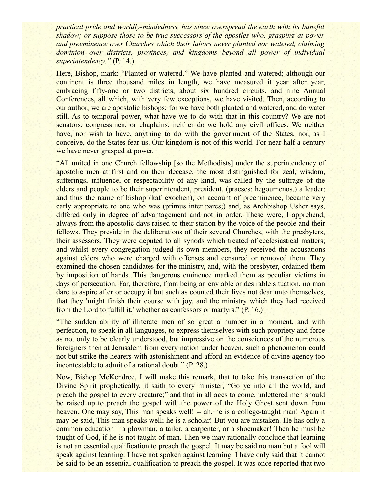*practical pride and worldly-mindedness, has since overspread the earth with its baneful shadow; or suppose those to be true successors of the apostles who, grasping at power and preeminence over Churches which their labors never planted nor watered, claiming dominion over districts, provinces, and kingdoms beyond all power of individual superintendency."* (P. 14.)

Here, Bishop, mark: "Planted or watered." We have planted and watered; although our continent is three thousand miles in length, we have measured it year after year, embracing fifty-one or two districts, about six hundred circuits, and nine Annual Conferences, all which, with very few exceptions, we have visited. Then, according to our author, we are apostolic bishops; for we have both planted and watered, and do water still. As to temporal power, what have we to do with that in this country? We are not senators, congressmen, or chaplains; neither do we hold any civil offices. We neither have, nor wish to have, anything to do with the government of the States, nor, as I conceive, do the States fear us. Our kingdom is not of this world. For near half a century we have never grasped at power.

"All united in one Church fellowship [so the Methodists] under the superintendency of apostolic men at first and on their decease, the most distinguished for zeal, wisdom, sufferings, influence, or respectability of any kind, was called by the suffrage of the elders and people to be their superintendent, president, (praeses; hegoumenos,) a leader; and thus the name of bishop (kat' exochen), on account of preeminence, became very early appropriate to one who was (primus inter pares;) and, as Archbishop Usher says, differed only in degree of advantagement and not in order. These were, I apprehend, always from the apostolic days raised to their station by the voice of the people and their fellows. They preside in the deliberations of their several Churches, with the presbyters, their assessors. They were deputed to all synods which treated of ecclesiastical matters; and whilst every congregation judged its own members, they received the accusations against elders who were charged with offenses and censured or removed them. They examined the chosen candidates for the ministry, and, with the presbyter, ordained them by imposition of hands. This dangerous eminence marked them as peculiar victims in days of persecution. Far, therefore, from being an enviable or desirable situation, no man dare to aspire after or occupy it but such as counted their lives not dear unto themselves, that they 'might finish their course with joy, and the ministry which they had received from the Lord to fulfill it,' whether as confessors or martyrs." (P. 16.)

"The sudden ability of illiterate men of so great a number in a moment, and with perfection, to speak in all languages, to express themselves with such propriety and force as not only to be clearly understood, but impressive on the consciences of the numerous foreigners then at Jerusalem from every nation under heaven, such a phenomenon could not but strike the hearers with astonishment and afford an evidence of divine agency too incontestable to admit of a rational doubt." (P. 28.)

Now, Bishop McKendree, I will make this remark, that to take this transaction of the Divine Spirit prophetically, it saith to every minister, "Go ye into all the world, and preach the gospel to every creature;" and that in all ages to come, unlettered men should be raised up to preach the gospel with the power of the Holy Ghost sent down from heaven. One may say, This man speaks well! -- ah, he is a college-taught man! Again it may be said, This man speaks well; he is a scholar! But you are mistaken. He has only a common education – a plowman, a tailor, a carpenter, or a shoemaker! Then he must be taught of God, if he is not taught of man. Then we may rationally conclude that learning is not an essential qualification to preach the gospel. It may be said no man but a fool will speak against learning. I have not spoken against learning. I have only said that it cannot be said to be an essential qualification to preach the gospel. It was once reported that two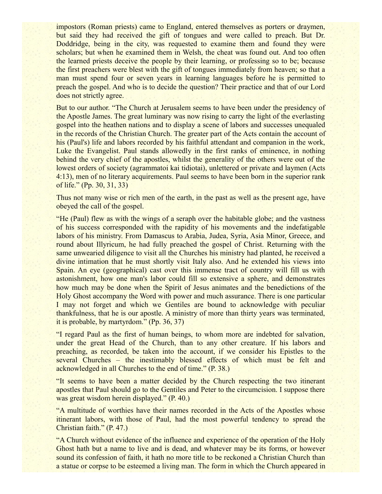impostors (Roman priests) came to England, entered themselves as porters or draymen, but said they had received the gift of tongues and were called to preach. But Dr. Doddridge, being in the city, was requested to examine them and found they were scholars; but when he examined them in Welsh, the cheat was found out. And too often the learned priests deceive the people by their learning, or professing so to be; because the first preachers were blest with the gift of tongues immediately from heaven; so that a man must spend four or seven years in learning languages before he is permitted to preach the gospel. And who is to decide the question? Their practice and that of our Lord does not strictly agree.

But to our author. "The Church at Jerusalem seems to have been under the presidency of the Apostle James. The great luminary was now rising to carry the light of the everlasting gospel into the heathen nations and to display a scene of labors and successes unequaled in the records of the Christian Church. The greater part of the Acts contain the account of his (Paul's) life and labors recorded by his faithful attendant and companion in the work, Luke the Evangelist. Paul stands allowedly in the first ranks of eminence, in nothing behind the very chief of the apostles, whilst the generality of the others were out of the lowest orders of society (agrammatoi kai tidiotai), unlettered or private and laymen (Acts 4:13), men of no literary acquirements. Paul seems to have been born in the superior rank of life." (Pp. 30, 31, 33)

Thus not many wise or rich men of the earth, in the past as well as the present age, have obeyed the call of the gospel.

"He (Paul) flew as with the wings of a seraph over the habitable globe; and the vastness of his success corresponded with the rapidity of his movements and the indefatigable labors of his ministry. From Damascus to Arabia, Judea, Syria, Asia Minor, Greece, and round about Illyricum, he had fully preached the gospel of Christ. Returning with the same unwearied diligence to visit all the Churches his ministry had planted, he received a divine intimation that he must shortly visit Italy also. And he extended his views into Spain. An eye (geographical) cast over this immense tract of country will fill us with astonishment, how one man's labor could fill so extensive a sphere, and demonstrates how much may be done when the Spirit of Jesus animates and the benedictions of the Holy Ghost accompany the Word with power and much assurance. There is one particular I may not forget and which we Gentiles are bound to acknowledge with peculiar thankfulness, that he is our apostle. A ministry of more than thirty years was terminated, it is probable, by martyrdom." (Pp. 36, 37)

"I regard Paul as the first of human beings, to whom more are indebted for salvation, under the great Head of the Church, than to any other creature. If his labors and preaching, as recorded, be taken into the account, if we consider his Epistles to the several Churches – the inestimably blessed effects of which must be felt and acknowledged in all Churches to the end of time." (P. 38.)

"It seems to have been a matter decided by the Church respecting the two itinerant apostles that Paul should go to the Gentiles and Peter to the circumcision. I suppose there was great wisdom herein displayed." (P. 40.)

"A multitude of worthies have their names recorded in the Acts of the Apostles whose itinerant labors, with those of Paul, had the most powerful tendency to spread the Christian faith." (P. 47.)

"A Church without evidence of the influence and experience of the operation of the Holy Ghost hath but a name to live and is dead, and whatever may be its forms, or however sound its confession of faith, it hath no more title to be reckoned a Christian Church than a statue or corpse to be esteemed a living man. The form in which the Church appeared in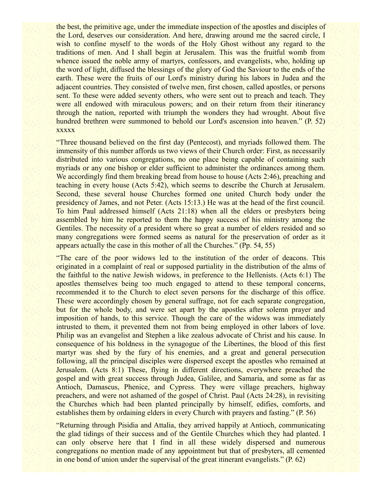the best, the primitive age, under the immediate inspection of the apostles and disciples of the Lord, deserves our consideration. And here, drawing around me the sacred circle, I wish to confine myself to the words of the Holy Ghost without any regard to the traditions of men. And I shall begin at Jerusalem. This was the fruitful womb from whence issued the noble army of martyrs, confessors, and evangelists, who, holding up the word of light, diffused the blessings of the glory of God the Saviour to the ends of the earth. These were the fruits of our Lord's ministry during his labors in Judea and the adjacent countries. They consisted of twelve men, first chosen, called apostles, or persons sent. To these were added seventy others, who were sent out to preach and teach. They were all endowed with miraculous powers; and on their return from their itinerancy through the nation, reported with triumph the wonders they had wrought. About five hundred brethren were summoned to behold our Lord's ascension into heaven." (P. 52) **xxxxx** 

"Three thousand believed on the first day (Pentecost), and myriads followed them. The immensity of this number affords us two views of their Church order: First, as necessarily distributed into various congregations, no one place being capable of containing such myriads or any one bishop or elder sufficient to administer the ordinances among them. We accordingly find them breaking bread from house to house  $(Acts 2:46)$ , preaching and teaching in every house (Acts 5:42), which seems to describe the Church at Jerusalem. Second, these several house Churches formed one united Church body under the presidency of James, and not Peter. (Acts 15:13.) He was at the head of the first council. To him Paul addressed himself (Acts 21:18) when all the elders or presbyters being assembled by him he reported to them the happy success of his ministry among the Gentiles. The necessity of a president where so great a number of elders resided and so many congregations were formed seems as natural for the preservation of order as it appears actually the case in this mother of all the Churches." (Pp. 54, 55)

"The care of the poor widows led to the institution of the order of deacons. This originated in a complaint of real or supposed partiality in the distribution of the alms of the faithful to the native Jewish widows, in preference to the Hellenists. (Acts 6:1) The apostles themselves being too much engaged to attend to these temporal concerns, recommended it to the Church to elect seven persons for the discharge of this office. These were accordingly chosen by general suffrage, not for each separate congregation, but for the whole body, and were set apart by the apostles after solemn prayer and imposition of hands, to this service. Though the care of the widows was immediately intrusted to them, it prevented them not from being employed in other labors of love. Philip was an evangelist and Stephen a like zealous advocate of Christ and his cause. In consequence of his boldness in the synagogue of the Libertines, the blood of this first martyr was shed by the fury of his enemies, and a great and general persecution following, all the principal disciples were dispersed except the apostles who remained at Jerusalem. (Acts 8:1) These, flying in different directions, everywhere preached the gospel and with great success through Judea, Galilee, and Samaria, and some as far as Antioch, Damascus, Phenice, and Cypress. They were village preachers, highway preachers, and were not ashamed of the gospel of Christ. Paul (Acts 24:28), in revisiting the Churches which had been planted principally by himself, edifies, comforts, and establishes them by ordaining elders in every Church with prayers and fasting." (P. 56)

"Returning through Pisidia and Attalia, they arrived happily at Antioch, communicating the glad tidings of their success and of the Gentile Churches which they had planted. I can only observe here that I find in all these widely dispersed and numerous congregations no mention made of any appointment but that of presbyters, all cemented in one bond of union under the supervisal of the great itinerant evangelists." (P. 62)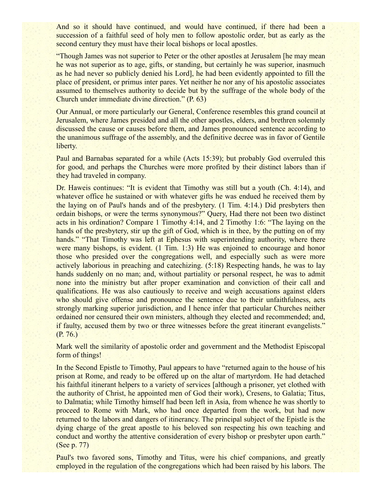And so it should have continued, and would have continued, if there had been a succession of a faithful seed of holy men to follow apostolic order, but as early as the second century they must have their local bishops or local apostles.

"Though James was not superior to Peter or the other apostles at Jerusalem [he may mean he was not superior as to age, gifts, or standing, but certainly he was superior, inasmuch as he had never so publicly denied his Lord], he had been evidently appointed to fill the place of president, or primus inter pares. Yet neither he nor any of his apostolic associates assumed to themselves authority to decide but by the suffrage of the whole body of the Church under immediate divine direction." (P. 63)

Our Annual, or more particularly our General, Conference resembles this grand council at Jerusalem, where James presided and all the other apostles, elders, and brethren solemnly discussed the cause or causes before them, and James pronounced sentence according to the unanimous suffrage of the assembly, and the definitive decree was in favor of Gentile liberty.

Paul and Barnabas separated for a while (Acts 15:39); but probably God overruled this for good, and perhaps the Churches were more profited by their distinct labors than if they had traveled in company.

Dr. Haweis continues: "It is evident that Timothy was still but a youth (Ch. 4:14), and whatever office he sustained or with whatever gifts he was endued he received them by the laying on of Paul's hands and of the presbytery. (1 Tim. 4:14.) Did presbyters then ordain bishops, or were the terms synonymous?" Query, Had there not been two distinct acts in his ordination? Compare 1 Timothy 4:14, and 2 Timothy 1:6: "The laying on the hands of the presbytery, stir up the gift of God, which is in thee, by the putting on of my hands." "That Timothy was left at Ephesus with superintending authority, where there were many bishops, is evident. (1 Tim. 1:3) He was enjoined to encourage and honor those who presided over the congregations well, and especially such as were more actively laborious in preaching and catechizing. (5:18) Respecting hands, he was to lay hands suddenly on no man; and, without partiality or personal respect, he was to admit none into the ministry but after proper examination and conviction of their call and qualifications. He was also cautiously to receive and weigh accusations against elders who should give offense and pronounce the sentence due to their unfaithfulness, acts strongly marking superior jurisdiction, and I hence infer that particular Churches neither ordained nor censured their own ministers, although they elected and recommended; and, if faulty, accused them by two or three witnesses before the great itinerant evangelists." (P. 76.)

Mark well the similarity of apostolic order and government and the Methodist Episcopal form of things!

In the Second Epistle to Timothy, Paul appears to have "returned again to the house of his prison at Rome, and ready to be offered up on the altar of martyrdom. He had detached his faithful itinerant helpers to a variety of services [although a prisoner, yet clothed with the authority of Christ, he appointed men of God their work), Cresens, to Galatia; Titus, to Dalmatia; while Timothy himself had been left in Asia, from whence he was shortly to proceed to Rome with Mark, who had once departed from the work, but had now returned to the labors and dangers of itinerancy. The principal subject of the Epistle is the dying charge of the great apostle to his beloved son respecting his own teaching and conduct and worthy the attentive consideration of every bishop or presbyter upon earth." (See p. 77)

Paul's two favored sons, Timothy and Titus, were his chief companions, and greatly employed in the regulation of the congregations which had been raised by his labors. The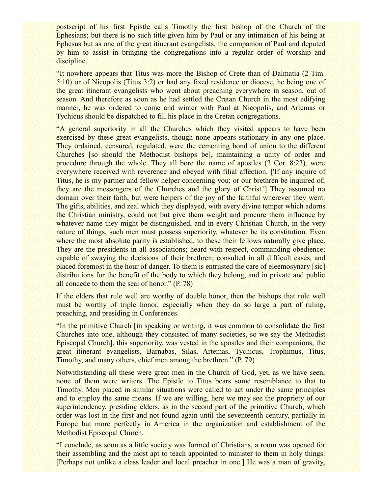postscript of his first Epistle calls Timothy the first bishop of the Church of the Ephesians; but there is no such title given him by Paul or any intimation of his being at Ephesus but as one of the great itinerant evangelists, the companion of Paul and deputed by him to assist in bringing the congregations into a regular order of worship and discipline.

"It nowhere appears that Titus was more the Bishop of Crete than of Dalmatia (2 Tim. 5:10) or of Nicopolis (Titus 3:2) or had any fixed residence or diocese, he being one of the great itinerant evangelists who went about preaching everywhere in season, out of season. And therefore as soon as he had settled the Cretan Church in the most edifying manner, he was ordered to come and winter with Paul at Nicopolis, and Artemas or Tychicus should be dispatched to fill his place in the Cretan congregations.

"A general superiority in all the Churches which they visited appears to have been exercised by these great evangelists, though none appears stationary in any one place. They ordained, censured, regulated, were the cementing bond of union to the different Churches [so should the Methodist bishops be], maintaining a unity of order and procedure through the whole. They all bore the name of apostles (2 Cor. 8:23), were everywhere received with reverence and obeyed with filial affection. ['If any inquire of Titus, he is my partner and fellow helper concerning you; or our brethren be inquired of, they are the messengers of the Churches and the glory of Christ.'] They assumed no domain over their faith, but were helpers of the joy of the faithful wherever they went. The gifts, abilities, and zeal which they displayed, with every divine temper which adorns the Christian ministry, could not but give them weight and procure them influence by whatever name they might be distinguished, and in every Christian Church, in the very nature of things, such men must possess superiority, whatever be its constitution. Even where the most absolute parity is established, to these their fellows naturally give place. They are the presidents in all associations; heard with respect, commanding obedience; capable of swaying the decisions of their brethren; consulted in all difficult cases, and placed foremost in the hour of danger. To them is entrusted the care of eleemosynary [sic] distributions for the benefit of the body to which they belong, and in private and public all concede to them the seal of honor." (P. 78)

If the elders that rule well are worthy of double honor, then the bishops that rule well must be worthy of triple honor, especially when they do so large a part of ruling, preaching, and presiding in Conferences.

"In the primitive Church [in speaking or writing, it was common to consolidate the first Churches into one, although they consisted of many societies, so we say the Methodist Episcopal Church], this superiority, was vested in the apostles and their companions, the great itinerant evangelists, Barnabas, Silas, Artemas, Tychicus, Trophimus, Titus, Timothy, and many others, chief men among the brethren." (P. 79)

Notwithstanding all these were great men in the Church of God, yet, as we have seen, none of them were writers. The Epistle to Titus bears some resemblance to that to Timothy. Men placed in similar situations were called to act under the same principles and to employ the same means. If we are willing, here we may see the propriety of our superintendency, presiding elders, as in the second part of the primitive Church, which order was lost in the first and not found again until the seventeenth century, partially in Europe but more perfectly in America in the organization and establishment of the Methodist Episcopal Church.

"I conclude, as soon as a little society was formed of Christians, a room was opened for their assembling and the most apt to teach appointed to minister to them in holy things. [Perhaps not unlike a class leader and local preacher in one.] He was a man of gravity,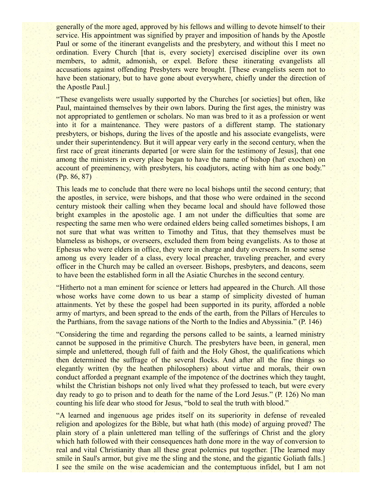generally of the more aged, approved by his fellows and willing to devote himself to their service. His appointment was signified by prayer and imposition of hands by the Apostle Paul or some of the itinerant evangelists and the presbytery, and without this I meet no ordination. Every Church [that is, every society] exercised discipline over its own members, to admit, admonish, or expel. Before these itinerating evangelists all accusations against offending Presbyters were brought. [These evangelists seem not to have been stationary, but to have gone about everywhere, chiefly under the direction of the Apostle Paul.]

"These evangelists were usually supported by the Churches [or societies] but often, like Paul, maintained themselves by their own labors. During the first ages, the ministry was not appropriated to gentlemen or scholars. No man was bred to it as a profession or went into it for a maintenance. They were pastors of a different stamp. The stationary presbyters, or bishops, during the lives of the apostle and his associate evangelists, were under their superintendency. But it will appear very early in the second century, when the first race of great itinerants departed [or were slain for the testimony of Jesus], that one among the ministers in every place began to have the name of bishop (hat' exochen) on account of preeminency, with presbyters, his coadjutors, acting with him as one body." (Pp. 86, 87)

This leads me to conclude that there were no local bishops until the second century; that the apostles, in service, were bishops, and that those who were ordained in the second century mistook their calling when they became local and should have followed those bright examples in the apostolic age. I am not under the difficulties that some are respecting the same men who were ordained elders being called sometimes bishops, I am not sure that what was written to Timothy and Titus, that they themselves must be blameless as bishops, or overseers, excluded them from being evangelists. As to those at Ephesus who were elders in office, they were in charge and duty overseers. In some sense among us every leader of a class, every local preacher, traveling preacher, and every officer in the Church may be called an overseer. Bishops, presbyters, and deacons, seem to have been the established form in all the Asiatic Churches in the second century.

"Hitherto not a man eminent for science or letters had appeared in the Church. All those whose works have come down to us bear a stamp of simplicity divested of human attainments. Yet by these the gospel had been supported in its purity, afforded a noble army of martyrs, and been spread to the ends of the earth, from the Pillars of Hercules to the Parthians, from the savage nations of the North to the Indies and Abyssinia." (P. 146)

"Considering the time and regarding the persons called to be saints, a learned ministry cannot be supposed in the primitive Church. The presbyters have been, in general, men simple and unlettered, though full of faith and the Holy Ghost, the qualifications which then determined the suffrage of the several flocks. And after all the fine things so elegantly written (by the heathen philosophers) about virtue and morals, their own conduct afforded a pregnant example of the impotence of the doctrines which they taught, whilst the Christian bishops not only lived what they professed to teach, but were every day ready to go to prison and to death for the name of the Lord Jesus." (P. 126) No man counting his life dear who stood for Jesus, "bold to seal the truth with blood."

"A learned and ingenuous age prides itself on its superiority in defense of revealed religion and apologizes for the Bible, but what hath (this mode) of arguing proved? The plain story of a plain unlettered man telling of the sufferings of Christ and the glory which hath followed with their consequences hath done more in the way of conversion to real and vital Christianity than all these great polemics put together. [The learned may smile in Saul's armor, but give me the sling and the stone, and the gigantic Goliath falls. I see the smile on the wise academician and the contemptuous infidel, but I am not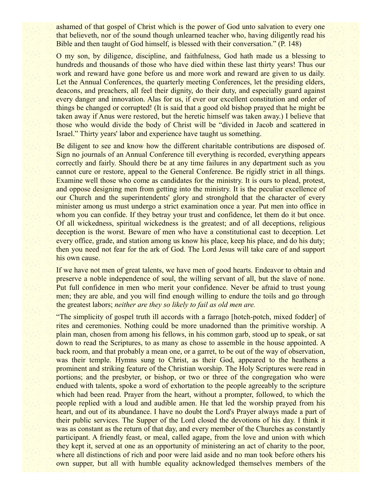ashamed of that gospel of Christ which is the power of God unto salvation to every one that believeth, nor of the sound though unlearned teacher who, having diligently read his Bible and then taught of God himself, is blessed with their conversation." (P. 148)

O my son, by diligence, discipline, and faithfulness, God hath made us a blessing to hundreds and thousands of those who have died within these last thirty years! Thus our work and reward have gone before us and more work and reward are given to us daily. Let the Annual Conferences, the quarterly meeting Conferences, let the presiding elders, deacons, and preachers, all feel their dignity, do their duty, and especially guard against every danger and innovation. Alas for us, if ever our excellent constitution and order of things be changed or corrupted! (It is said that a good old bishop prayed that he might be taken away if Anus were restored, but the heretic himself was taken away.) I believe that those who would divide the body of Christ will be "divided in Jacob and scattered in Israel." Thirty years' labor and experience have taught us something.

Be diligent to see and know how the different charitable contributions are disposed of. Sign no journals of an Annual Conference till everything is recorded, everything appears correctly and fairly. Should there be at any time failures in any department such as you cannot cure or restore, appeal to the General Conference. Be rigidly strict in all things. Examine well those who come as candidates for the ministry. It is ours to plead, protest, and oppose designing men from getting into the ministry. It is the peculiar excellence of our Church and the superintendents' glory and stronghold that the character of every minister among us must undergo a strict examination once a year. Put men into office in whom you can confide. If they betray your trust and confidence, let them do it but once. Of all wickedness, spiritual wickedness is the greatest; and of all deceptions, religious deception is the worst. Beware of men who have a constitutional cast to deception. Let every office, grade, and station among us know his place, keep his place, and do his duty; then you need not fear for the ark of God. The Lord Jesus will take care of and support his own cause.

If we have not men of great talents, we have men of good hearts. Endeavor to obtain and preserve a noble independence of soul, the willing servant of all, but the slave of none. Put full confidence in men who merit your confidence. Never be afraid to trust young men; they are able, and you will find enough willing to endure the toils and go through the greatest labors; *neither are they so likely to fail as old men are.*

"The simplicity of gospel truth ill accords with a farrago [hotch-potch, mixed fodder] of rites and ceremonies. Nothing could be more unadorned than the primitive worship. A plain man, chosen from among his fellows, in his common garb, stood up to speak, or sat down to read the Scriptures, to as many as chose to assemble in the house appointed. A back room, and that probably a mean one, or a garret, to be out of the way of observation, was their temple. Hymns sung to Christ, as their God, appeared to the heathens a prominent and striking feature of the Christian worship. The Holy Scriptures were read in portions; and the presbyter, or bishop, or two or three of the congregation who were endued with talents, spoke a word of exhortation to the people agreeably to the scripture which had been read. Prayer from the heart, without a prompter, followed, to which the people replied with a loud and audible amen. He that led the worship prayed from his heart, and out of its abundance. I have no doubt the Lord's Prayer always made a part of their public services. The Supper of the Lord closed the devotions of his day. I think it was as constant as the return of that day, and every member of the Churches as constantly participant. A friendly feast, or meal, called agape, from the love and union with which they kept it, served at one as an opportunity of ministering an act of charity to the poor, where all distinctions of rich and poor were laid aside and no man took before others his own supper, but all with humble equality acknowledged themselves members of the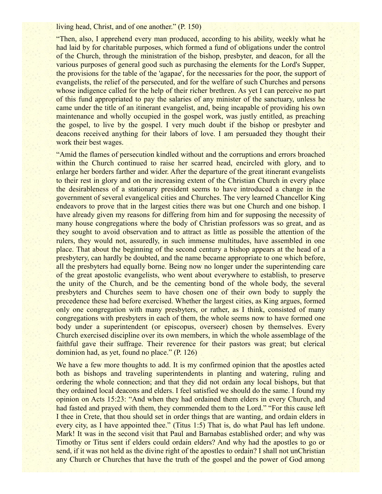living head, Christ, and of one another." (P. 150)

"Then, also, I apprehend every man produced, according to his ability, weekly what he had laid by for charitable purposes, which formed a fund of obligations under the control of the Church, through the ministration of the bishop, presbyter, and deacon, for all the various purposes of general good such as purchasing the elements for the Lord's Supper, the provisions for the table of the 'agapae', for the necessaries for the poor, the support of evangelists, the relief of the persecuted, and for the welfare of such Churches and persons whose indigence called for the help of their richer brethren. As yet I can perceive no part of this fund appropriated to pay the salaries of any minister of the sanctuary, unless he came under the title of an itinerant evangelist, and, being incapable of providing his own maintenance and wholly occupied in the gospel work, was justly entitled, as preaching the gospel, to live by the gospel. I very much doubt if the bishop or presbyter and deacons received anything for their labors of love. I am persuaded they thought their work their best wages.

"Amid the flames of persecution kindled without and the corruptions and errors broached within the Church continued to raise her scarred head, encircled with glory, and to enlarge her borders farther and wider. After the departure of the great itinerant evangelists to their rest in glory and on the increasing extent of the Christian Church in every place the desirableness of a stationary president seems to have introduced a change in the government of several evangelical cities and Churches. The very learned Chancellor King endeavors to prove that in the largest cities there was but one Church and one bishop. I have already given my reasons for differing from him and for supposing the necessity of many house congregations where the body of Christian professors was so great, and as they sought to avoid observation and to attract as little as possible the attention of the rulers, they would not, assuredly, in such immense multitudes, have assembled in one place. That about the beginning of the second century a bishop appears at the head of a presbytery, can hardly be doubted, and the name became appropriate to one which before, all the presbyters had equally borne. Being now no longer under the superintending care of the great apostolic evangelists, who went about everywhere to establish, to preserve the unity of the Church, and be the cementing bond of the whole body, the several presbyters and Churches seem to have chosen one of their own body to supply the precedence these had before exercised. Whether the largest cities, as King argues, formed only one congregation with many presbyters, or rather, as I think, consisted of many congregations with presbyters in each of them, the whole seems now to have formed one body under a superintendent (or episcopus, overseer) chosen by themselves. Every Church exercised discipline over its own members, in which the whole assemblage of the faithful gave their suffrage. Their reverence for their pastors was great; but clerical dominion had, as yet, found no place." (P. 126)

We have a few more thoughts to add. It is my confirmed opinion that the apostles acted both as bishops and traveling superintendents in planting and watering, ruling and ordering the whole connection; and that they did not ordain any local bishops, but that they ordained local deacons and elders. I feel satisfied we should do the same. I found my opinion on Acts 15:23: "And when they had ordained them elders in every Church, and had fasted and prayed with them, they commended them to the Lord." "For this cause left I thee in Crete, that thou should set in order things that are wanting, and ordain elders in every city, as I have appointed thee." (Titus 1:5) That is, do what Paul has left undone. Mark! It was in the second visit that Paul and Barnabas established order; and why was Timothy or Titus sent if elders could ordain elders? And why had the apostles to go or send, if it was not held as the divine right of the apostles to ordain? I shall not unChristian any Church or Churches that have the truth of the gospel and the power of God among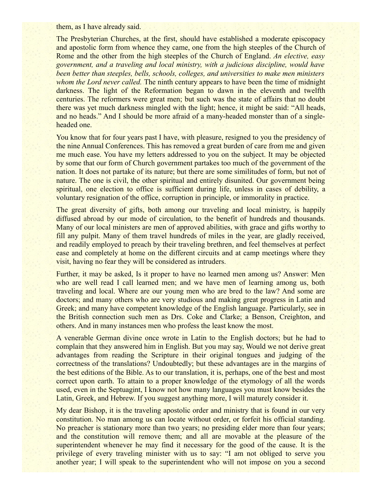them, as I have already said.

The Presbyterian Churches, at the first, should have established a moderate episcopacy and apostolic form from whence they came, one from the high steeples of the Church of Rome and the other from the high steeples of the Church of England. *An elective, easy government, and a traveling and local ministry, with a judicious discipline, would have been better than steeples, bells, schools, colleges, and universities to make men ministers whom the Lord never called.* The ninth century appears to have been the time of midnight darkness. The light of the Reformation began to dawn in the eleventh and twelfth centuries. The reformers were great men; but such was the state of affairs that no doubt there was yet much darkness mingled with the light; hence, it might be said: "All heads, and no heads." And I should be more afraid of a many-headed monster than of a singleheaded one.

You know that for four years past I have, with pleasure, resigned to you the presidency of the nine Annual Conferences. This has removed a great burden of care from me and given me much ease. You have my letters addressed to you on the subject. It may be objected by some that our form of Church government partakes too much of the government of the nation. It does not partake of its nature; but there are some similitudes of form, but not of nature. The one is civil, the other spiritual and entirely disunited. Our government being spiritual, one election to office is sufficient during life, unless in cases of debility, a voluntary resignation of the office, corruption in principle, or immorality in practice.

The great diversity of gifts, both among our traveling and local ministry, is happily diffused abroad by our mode of circulation, to the benefit of hundreds and thousands. Many of our local ministers are men of approved abilities, with grace and gifts worthy to fill any pulpit. Many of them travel hundreds of miles in the year, are gladly received, and readily employed to preach by their traveling brethren, and feel themselves at perfect ease and completely at home on the different circuits and at camp meetings where they visit, having no fear they will be considered as intruders.

Further, it may be asked, Is it proper to have no learned men among us? Answer: Men who are well read I call learned men; and we have men of learning among us, both traveling and local. Where are our young men who are bred to the law? And some are doctors; and many others who are very studious and making great progress in Latin and Greek; and many have competent knowledge of the English language. Particularly, see in the British connection such men as Drs. Coke and Clarke; a Benson, Creighton, and others. And in many instances men who profess the least know the most.

A venerable German divine once wrote in Latin to the English doctors; but he had to complain that they answered him in English. But you may say, Would we not derive great advantages from reading the Scripture in their original tongues and judging of the correctness of the translations? Undoubtedly; but these advantages are in the margins of the best editions of the Bible. As to our translation, it is, perhaps, one of the best and most correct upon earth. To attain to a proper knowledge of the etymology of all the words used, even in the Septuagint, I know not how many languages you must know besides the Latin, Greek, and Hebrew. If you suggest anything more, I will maturely consider it.

My dear Bishop, it is the traveling apostolic order and ministry that is found in our very constitution. No man among us can locate without order, or forfeit his official standing. No preacher is stationary more than two years; no presiding elder more than four years; and the constitution will remove them; and all are movable at the pleasure of the superintendent whenever he may find it necessary for the good of the cause. It is the privilege of every traveling minister with us to say: "I am not obliged to serve you another year; I will speak to the superintendent who will not impose on you a second